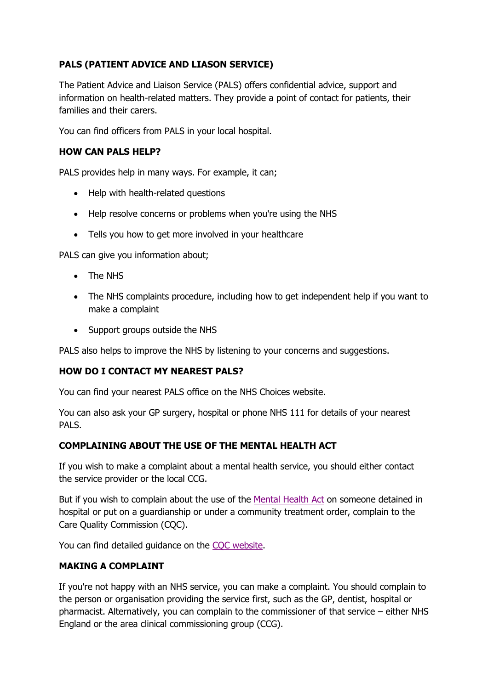# **PALS (PATIENT ADVICE AND LIASON SERVICE)**

The Patient Advice and Liaison Service (PALS) offers confidential advice, support and information on health-related matters. They provide a point of contact for patients, their families and their carers.

You can find officers from PALS in your local hospital.

## **HOW CAN PALS HELP?**

PALS provides help in many ways. For example, it can;

- Help with health-related questions
- Help resolve concerns or problems when you're using the NHS
- Tells you how to get more involved in your healthcare

PALS can give you information about;

- The NHS
- The NHS complaints procedure, including how to get independent help if you want to make a complaint
- Support groups outside the NHS

PALS also helps to improve the NHS by listening to your concerns and suggestions.

#### **HOW DO I CONTACT MY NEAREST PALS?**

You can find your nearest PALS office on the NHS Choices website.

You can also ask your GP surgery, hospital or phone NHS 111 for details of your nearest PALS.

#### **COMPLAINING ABOUT THE USE OF THE MENTAL HEALTH ACT**

If you wish to make a complaint about a mental health service, you should either contact the service provider or the local CCG.

But if you wish to complain about the use of the [Mental Health Act](https://www.nhs.uk/using-the-nhs/nhs-services/mental-health-services/mental-health-act/) on someone detained in hospital or put on a guardianship or under a community treatment order, complain to the Care Quality Commission (CQC).

You can find detailed guidance on the [CQC website.](http://www.cqc.org.uk/content/complain-about-use-mental-health-act)

#### **MAKING A COMPLAINT**

If you're not happy with an NHS service, you can make a complaint. You should complain to the person or organisation providing the service first, such as the GP, dentist, hospital or pharmacist. Alternatively, you can complain to the commissioner of that service – either NHS England or the area clinical commissioning group (CCG).